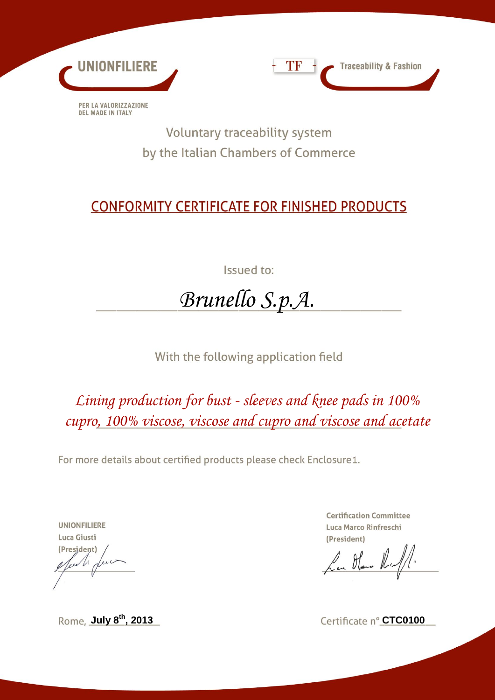



Voluntary traceability system by the Italian Chambers of Commerce

## **CONFORMITY CERTIFICATE FOR FINISHED PRODUCTS**

Issued to:

## *Brunello S.p.A.*

With the following application field

*Lining production for bust - sleeves and knee pads in 100% cupro, 100% viscose, viscose and cupro and viscose and acetate*

For more details about certified products please check Enclosure1.

**UNIONFILIERE** Luca Giusti (President)  $\sqrt{\mu}$ 

**Certification Committee** Luca Marco Rinfreschi (President)

La Han Ruff.

**Rome**, **July 8<sup>th</sup>, 2013 Certificate n° CTC0100**